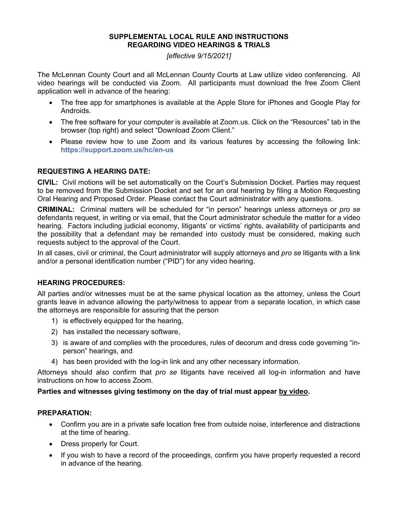#### **SUPPLEMENTAL LOCAL RULE AND INSTRUCTIONS REGARDING VIDEO HEARINGS & TRIALS**

*[effective 9/15/2021]* 

The McLennan County Court and all McLennan County Courts at Law utilize video conferencing. All video hearings will be conducted via Zoom. All participants must download the free Zoom Client application well in advance of the hearing:

- The free app for smartphones is available at the Apple Store for iPhones and Google Play for Androids.
- The free software for your computer is available at Zoom.us. Click on the "Resources" tab in the browser (top right) and select "Download Zoom Client."
- Please review how to use Zoom and its various features by accessing the following link: **https://support.zoom.us/hc/en-us**

# **REQUESTING A HEARING DATE:**

**CIVIL:** Civil motions will be set automatically on the Court's Submission Docket. Parties may request to be removed from the Submission Docket and set for an oral hearing by filing a Motion Requesting Oral Hearing and Proposed Order. Please contact the Court administrator with any questions.

**CRIMINAL:** Criminal matters will be scheduled for "in person" hearings unless attorneys or *pro se* defendants request, in writing or via email, that the Court administrator schedule the matter for a video hearing. Factors including judicial economy, litigants' or victims' rights, availability of participants and the possibility that a defendant may be remanded into custody must be considered, making such requests subject to the approval of the Court.

In all cases, civil or criminal, the Court administrator will supply attorneys and *pro se* litigants with a link and/or a personal identification number ("PID") for any video hearing.

### **HEARING PROCEDURES:**

All parties and/or witnesses must be at the same physical location as the attorney, unless the Court grants leave in advance allowing the party/witness to appear from a separate location, in which case the attorneys are responsible for assuring that the person

- 1) is effectively equipped for the hearing,
- 2) has installed the necessary software,
- 3) is aware of and complies with the procedures, rules of decorum and dress code governing "inperson" hearings, and
- 4) has been provided with the log-in link and any other necessary information.

Attorneys should also confirm that *pro se* litigants have received all log-in information and have instructions on how to access Zoom.

### **Parties and witnesses giving testimony on the day of trial must appear by video.**

#### **PREPARATION:**

- Confirm you are in a private safe location free from outside noise, interference and distractions at the time of hearing.
- Dress properly for Court.
- If you wish to have a record of the proceedings, confirm you have properly requested a record in advance of the hearing.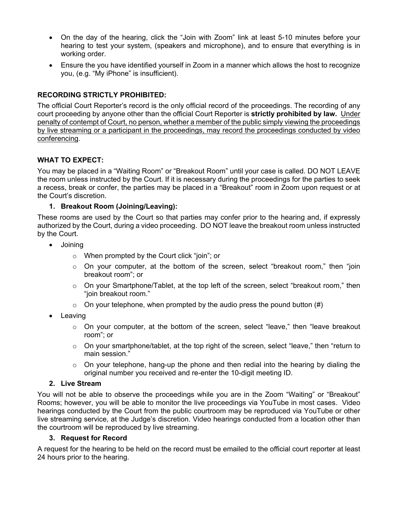- On the day of the hearing, click the "Join with Zoom" link at least 5-10 minutes before your hearing to test your system, (speakers and microphone), and to ensure that everything is in working order.
- Ensure the you have identified yourself in Zoom in a manner which allows the host to recognize you, (e.g. "My iPhone" is insufficient).

# **RECORDING STRICTLY PROHIBITED:**

The official Court Reporter's record is the only official record of the proceedings. The recording of any court proceeding by anyone other than the official Court Reporter is **strictly prohibited by law.** Under penalty of contempt of Court, no person, whether a member of the public simply viewing the proceedings by live streaming or a participant in the proceedings, may record the proceedings conducted by video conferencing.

# **WHAT TO EXPECT:**

You may be placed in a "Waiting Room" or "Breakout Room" until your case is called. DO NOT LEAVE the room unless instructed by the Court. If it is necessary during the proceedings for the parties to seek a recess, break or confer, the parties may be placed in a "Breakout" room in Zoom upon request or at the Court's discretion.

# **1. Breakout Room (Joining/Leaving):**

These rooms are used by the Court so that parties may confer prior to the hearing and, if expressly authorized by the Court, during a video proceeding. DO NOT leave the breakout room unless instructed by the Court.

- Joining
	- o When prompted by the Court click "join"; or
	- $\circ$  On your computer, at the bottom of the screen, select "breakout room," then "join breakout room"; or
	- o On your Smartphone/Tablet, at the top left of the screen, select "breakout room," then "join breakout room."
	- $\circ$  On your telephone, when prompted by the audio press the pound button (#)
- Leaving
	- $\circ$  On your computer, at the bottom of the screen, select "leave," then "leave breakout room"; or
	- $\circ$  On your smartphone/tablet, at the top right of the screen, select "leave," then "return to main session."
	- $\circ$  On your telephone, hang-up the phone and then redial into the hearing by dialing the original number you received and re-enter the 10-digit meeting ID.

### **2. Live Stream**

You will not be able to observe the proceedings while you are in the Zoom "Waiting" or "Breakout" Rooms; however, you will be able to monitor the live proceedings via YouTube in most cases. Video hearings conducted by the Court from the public courtroom may be reproduced via YouTube or other live streaming service, at the Judge's discretion. Video hearings conducted from a location other than the courtroom will be reproduced by live streaming.

### **3. Request for Record**

A request for the hearing to be held on the record must be emailed to the official court reporter at least 24 hours prior to the hearing.